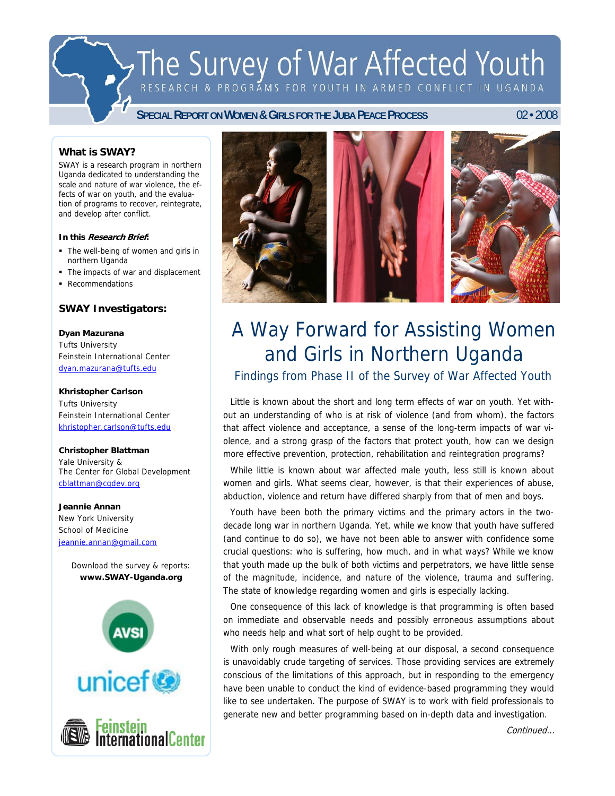RESEARCH & PROGRAMS FOR YOUTH IN ARMED CONFLICT IN UGANDA

**SPECIAL REPORT ON WOMEN & GIRLS FOR THE JUBA PEACE PROCESS** 02 • 2008

# **What is SWAY?**

SWAY is a research program in northern Uganda dedicated to understanding the scale and nature of war violence, the effects of war on youth, and the evaluation of programs to recover, reintegrate, and develop after conflict.

#### **In this Research Brief:**

- The well-being of women and girls in northern Uganda
- The impacts of war and displacement
- Recommendations

## **SWAY Investigators:**

### **Dyan Mazurana**

Tufts University Feinstein International Center dyan.mazurana@tufts.edu

### **Khristopher Carlson**

Tufts University Feinstein International Center khristopher.carlson@tufts.edu

#### **Christopher Blattman**

Yale University & The Center for Global Development cblattman@cgdev.org

#### **Jeannie Annan**

New York University School of Medicine jeannie.annan@gmail.com

> Download the survey & reports: **www.SWAY-Uganda.org**



Feinstein<br>InternationalCenter



# A Way Forward for Assisting Women and Girls in Northern Uganda

# Findings from Phase II of the Survey of War Affected Youth

Little is known about the short and long term effects of war on youth. Yet without an understanding of who is at risk of violence (and from whom), the factors that affect violence and acceptance, a sense of the long-term impacts of war violence, and a strong grasp of the factors that protect youth, how can we design more effective prevention, protection, rehabilitation and reintegration programs?

While little is known about war affected male youth, less still is known about women and girls. What seems clear, however, is that their experiences of abuse, abduction, violence and return have differed sharply from that of men and boys.

Youth have been both the primary victims and the primary actors in the twodecade long war in northern Uganda. Yet, while we know that youth have suffered (and continue to do so), we have not been able to answer with confidence some crucial questions: who is suffering, how much, and in what ways? While we know that youth made up the bulk of both victims and perpetrators, we have little sense of the magnitude, incidence, and nature of the violence, trauma and suffering. The state of knowledge regarding women and girls is especially lacking.

One consequence of this lack of knowledge is that programming is often based on immediate and observable needs and possibly erroneous assumptions about who needs help and what sort of help ought to be provided.

With only rough measures of well-being at our disposal, a second consequence is unavoidably crude targeting of services. Those providing services are extremely conscious of the limitations of this approach, but in responding to the emergency have been unable to conduct the kind of evidence-based programming they would like to see undertaken. The purpose of SWAY is to work with field professionals to generate new and better programming based on in-depth data and investigation.

Continued…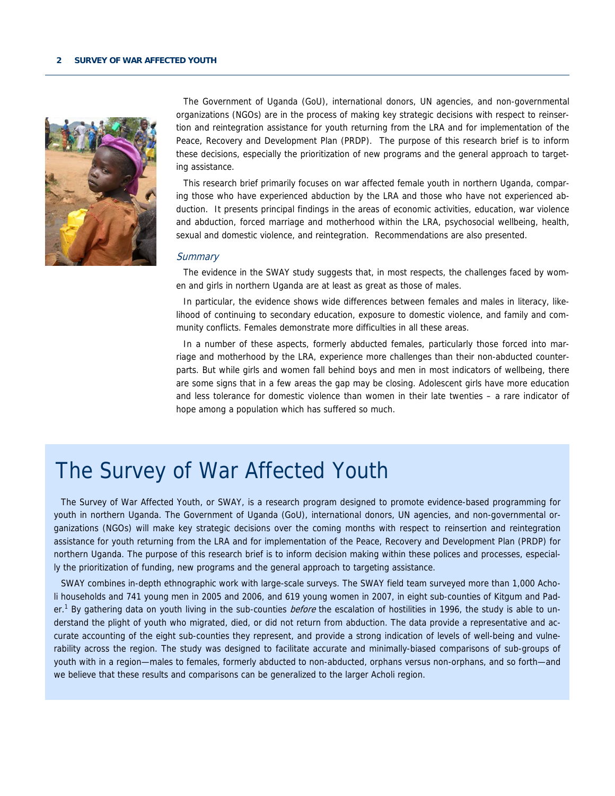

The Government of Uganda (GoU), international donors, UN agencies, and non-governmental organizations (NGOs) are in the process of making key strategic decisions with respect to reinsertion and reintegration assistance for youth returning from the LRA and for implementation of the Peace, Recovery and Development Plan (PRDP). The purpose of this research brief is to inform these decisions, especially the prioritization of new programs and the general approach to targeting assistance.

This research brief primarily focuses on war affected female youth in northern Uganda, comparing those who have experienced abduction by the LRA and those who have not experienced abduction. It presents principal findings in the areas of economic activities, education, war violence and abduction, forced marriage and motherhood within the LRA, psychosocial wellbeing, health, sexual and domestic violence, and reintegration. Recommendations are also presented.

#### **Summary**

The evidence in the SWAY study suggests that, in most respects, the challenges faced by women and girls in northern Uganda are at least as great as those of males.

In particular, the evidence shows wide differences between females and males in literacy, likelihood of continuing to secondary education, exposure to domestic violence, and family and community conflicts. Females demonstrate more difficulties in all these areas.

In a number of these aspects, formerly abducted females, particularly those forced into marriage and motherhood by the LRA, experience more challenges than their non-abducted counterparts. But while girls and women fall behind boys and men in most indicators of wellbeing, there are some signs that in a few areas the gap may be closing. Adolescent girls have more education and less tolerance for domestic violence than women in their late twenties – a rare indicator of hope among a population which has suffered so much.

# The Survey of War Affected Youth

The Survey of War Affected Youth, or SWAY, is a research program designed to promote evidence-based programming for youth in northern Uganda. The Government of Uganda (GoU), international donors, UN agencies, and non-governmental organizations (NGOs) will make key strategic decisions over the coming months with respect to reinsertion and reintegration assistance for youth returning from the LRA and for implementation of the Peace, Recovery and Development Plan (PRDP) for northern Uganda. The purpose of this research brief is to inform decision making within these polices and processes, especially the prioritization of funding, new programs and the general approach to targeting assistance.

SWAY combines in-depth ethnographic work with large-scale surveys. The SWAY field team surveyed more than 1,000 Acholi households and 741 young men in 2005 and 2006, and 619 young women in 2007, in eight sub-counties of Kitgum and Pader.<sup>1</sup> By gathering data on youth living in the sub-counties *before* the escalation of hostilities in 1996, the study is able to understand the plight of youth who migrated, died, or did not return from abduction. The data provide a representative and accurate accounting of the eight sub-counties they represent, and provide a strong indication of levels of well-being and vulnerability across the region. The study was designed to facilitate accurate and minimally-biased comparisons of sub-groups of youth with in a region—males to females, formerly abducted to non-abducted, orphans versus non-orphans, and so forth—and we believe that these results and comparisons can be generalized to the larger Acholi region.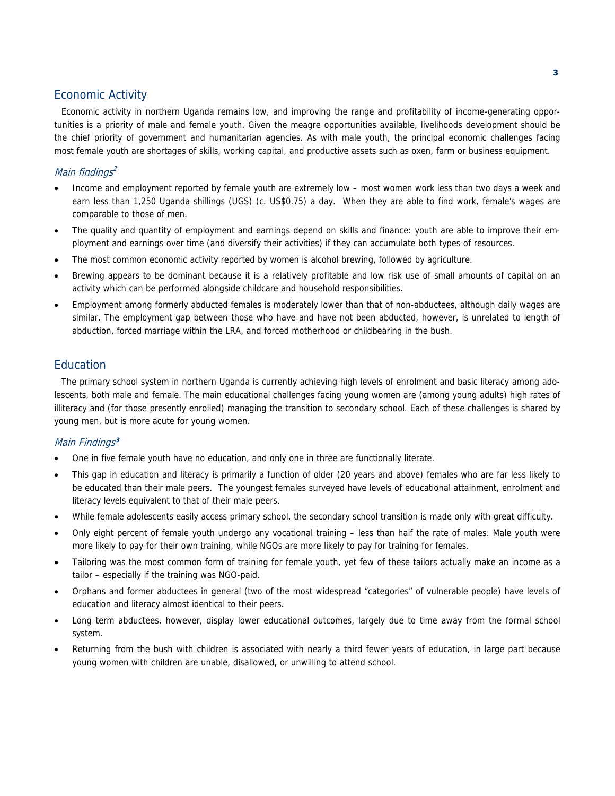# Economic Activity

Economic activity in northern Uganda remains low, and improving the range and profitability of income-generating opportunities is a priority of male and female youth. Given the meagre opportunities available, livelihoods development should be the chief priority of government and humanitarian agencies. As with male youth, the principal economic challenges facing most female youth are shortages of skills, working capital, and productive assets such as oxen, farm or business equipment.

# Main findings $\mathbb{Z}$

- Income and employment reported by female youth are extremely low most women work less than two days a week and earn less than 1,250 Uganda shillings (UGS) (c. US\$0.75) a day. When they are able to find work, female's wages are comparable to those of men.
- The quality and quantity of employment and earnings depend on skills and finance: youth are able to improve their employment and earnings over time (and diversify their activities) if they can accumulate both types of resources.
- The most common economic activity reported by women is alcohol brewing, followed by agriculture.
- Brewing appears to be dominant because it is a relatively profitable and low risk use of small amounts of capital on an activity which can be performed alongside childcare and household responsibilities.
- Employment among formerly abducted females is moderately lower than that of non-abductees, although daily wages are similar. The employment gap between those who have and have not been abducted, however, is unrelated to length of abduction, forced marriage within the LRA, and forced motherhood or childbearing in the bush.

# Education

The primary school system in northern Uganda is currently achieving high levels of enrolment and basic literacy among adolescents, both male and female. The main educational challenges facing young women are (among young adults) high rates of illiteracy and (for those presently enrolled) managing the transition to secondary school. Each of these challenges is shared by young men, but is more acute for young women.

### Main Findings**<sup>3</sup>**

- One in five female youth have no education, and only one in three are functionally literate.
- This gap in education and literacy is primarily a function of older (20 years and above) females who are far less likely to be educated than their male peers. The youngest females surveyed have levels of educational attainment, enrolment and literacy levels equivalent to that of their male peers.
- While female adolescents easily access primary school, the secondary school transition is made only with great difficulty.
- Only eight percent of female youth undergo any vocational training less than half the rate of males. Male youth were more likely to pay for their own training, while NGOs are more likely to pay for training for females.
- Tailoring was the most common form of training for female youth, yet few of these tailors actually make an income as a tailor – especially if the training was NGO-paid.
- Orphans and former abductees in general (two of the most widespread "categories" of vulnerable people) have levels of education and literacy almost identical to their peers.
- Long term abductees, however, display lower educational outcomes, largely due to time away from the formal school system.
- Returning from the bush with children is associated with nearly a third fewer years of education, in large part because young women with children are unable, disallowed, or unwilling to attend school.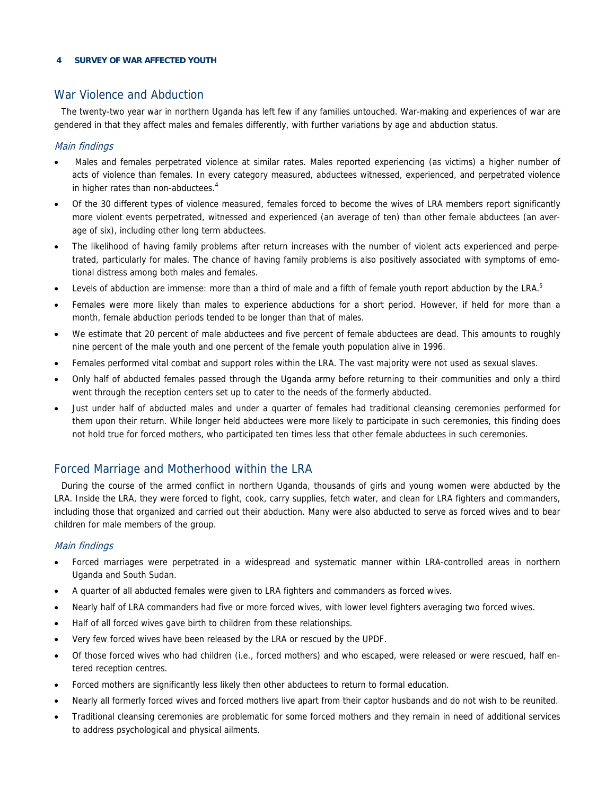### **4 SURVEY OF WAR AFFECTED YOUTH**

# War Violence and Abduction

The twenty-two year war in northern Uganda has left few if any families untouched. War-making and experiences of war are gendered in that they affect males and females differently, with further variations by age and abduction status.

### Main findings

- Males and females perpetrated violence at similar rates. Males reported experiencing (as victims) a higher number of acts of violence than females. In every category measured, abductees witnessed, experienced, and perpetrated violence in higher rates than non-abductees.<sup>4</sup>
- Of the 30 different types of violence measured, females forced to become the wives of LRA members report significantly more violent events perpetrated, witnessed and experienced (an average of ten) than other female abductees (an average of six), including other long term abductees.
- The likelihood of having family problems after return increases with the number of violent acts experienced and perpetrated, particularly for males. The chance of having family problems is also positively associated with symptoms of emotional distress among both males and females.
- Levels of abduction are immense: more than a third of male and a fifth of female youth report abduction by the LRA.<sup>5</sup>
- Females were more likely than males to experience abductions for a short period. However, if held for more than a month, female abduction periods tended to be longer than that of males.
- We estimate that 20 percent of male abductees and five percent of female abductees are dead. This amounts to roughly nine percent of the male youth and one percent of the female youth population alive in 1996.
- Females performed vital combat and support roles within the LRA. The vast majority were not used as sexual slaves.
- Only half of abducted females passed through the Uganda army before returning to their communities and only a third went through the reception centers set up to cater to the needs of the formerly abducted.
- Just under half of abducted males and under a quarter of females had traditional cleansing ceremonies performed for them upon their return. While longer held abductees were more likely to participate in such ceremonies, this finding does not hold true for forced mothers, who participated ten times less that other female abductees in such ceremonies.

# Forced Marriage and Motherhood within the LRA

During the course of the armed conflict in northern Uganda, thousands of girls and young women were abducted by the LRA. Inside the LRA, they were forced to fight, cook, carry supplies, fetch water, and clean for LRA fighters and commanders, including those that organized and carried out their abduction. Many were also abducted to serve as forced wives and to bear children for male members of the group.

### Main findings

- Forced marriages were perpetrated in a widespread and systematic manner within LRA-controlled areas in northern Uganda and South Sudan.
- A quarter of all abducted females were given to LRA fighters and commanders as forced wives.
- Nearly half of LRA commanders had five or more forced wives, with lower level fighters averaging two forced wives.
- Half of all forced wives gave birth to children from these relationships.
- Very few forced wives have been released by the LRA or rescued by the UPDF.
- Of those forced wives who had children (i.e., forced mothers) and who escaped, were released or were rescued, half entered reception centres.
- Forced mothers are significantly less likely then other abductees to return to formal education.
- Nearly all formerly forced wives and forced mothers live apart from their captor husbands and do not wish to be reunited.
- Traditional cleansing ceremonies are problematic for some forced mothers and they remain in need of additional services to address psychological and physical ailments.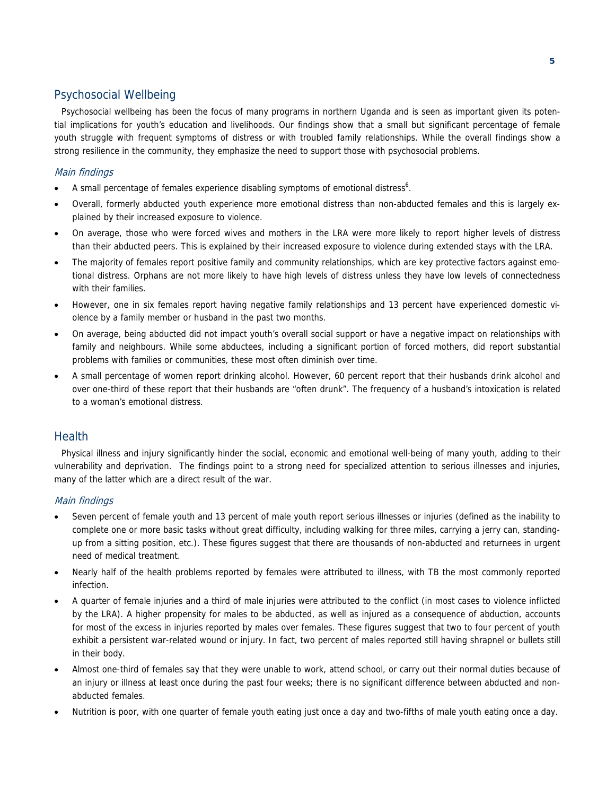# Psychosocial Wellbeing

Psychosocial wellbeing has been the focus of many programs in northern Uganda and is seen as important given its potential implications for youth's education and livelihoods. Our findings show that a small but significant percentage of female youth struggle with frequent symptoms of distress or with troubled family relationships. While the overall findings show a strong resilience in the community, they emphasize the need to support those with psychosocial problems.

# Main findings

- A small percentage of females experience disabling symptoms of emotional distress<sup>6</sup>.
- Overall, formerly abducted youth experience more emotional distress than non-abducted females and this is largely explained by their increased exposure to violence.
- On average, those who were forced wives and mothers in the LRA were more likely to report higher levels of distress than their abducted peers. This is explained by their increased exposure to violence during extended stays with the LRA.
- The majority of females report positive family and community relationships, which are key protective factors against emotional distress. Orphans are not more likely to have high levels of distress unless they have low levels of connectedness with their families.
- However, one in six females report having negative family relationships and 13 percent have experienced domestic violence by a family member or husband in the past two months.
- On average, being abducted did not impact youth's overall social support or have a negative impact on relationships with family and neighbours. While some abductees, including a significant portion of forced mothers, did report substantial problems with families or communities, these most often diminish over time.
- A small percentage of women report drinking alcohol. However, 60 percent report that their husbands drink alcohol and over one-third of these report that their husbands are "often drunk". The frequency of a husband's intoxication is related to a woman's emotional distress.

# Health

Physical illness and injury significantly hinder the social, economic and emotional well-being of many youth, adding to their vulnerability and deprivation. The findings point to a strong need for specialized attention to serious illnesses and injuries, many of the latter which are a direct result of the war.

# Main findings

- Seven percent of female youth and 13 percent of male youth report serious illnesses or injuries (defined as the inability to complete one or more basic tasks without great difficulty, including walking for three miles, carrying a jerry can, standingup from a sitting position, etc.). These figures suggest that there are thousands of non-abducted and returnees in urgent need of medical treatment.
- Nearly half of the health problems reported by females were attributed to illness, with TB the most commonly reported infection.
- A quarter of female injuries and a third of male injuries were attributed to the conflict (in most cases to violence inflicted by the LRA). A higher propensity for males to be abducted, as well as injured as a consequence of abduction, accounts for most of the excess in injuries reported by males over females. These figures suggest that two to four percent of youth exhibit a persistent war-related wound or injury. In fact, two percent of males reported still having shrapnel or bullets still in their body.
- Almost one-third of females say that they were unable to work, attend school, or carry out their normal duties because of an injury or illness at least once during the past four weeks; there is no significant difference between abducted and nonabducted females.
- Nutrition is poor, with one quarter of female youth eating just once a day and two-fifths of male youth eating once a day.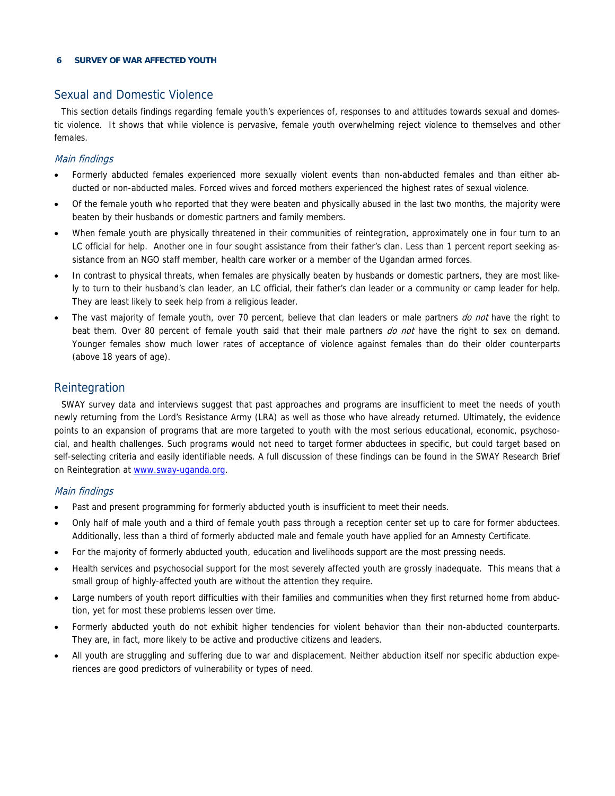#### **6 SURVEY OF WAR AFFECTED YOUTH**

# Sexual and Domestic Violence

This section details findings regarding female youth's experiences of, responses to and attitudes towards sexual and domestic violence. It shows that while violence is pervasive, female youth overwhelming reject violence to themselves and other females.

## Main findings

- Formerly abducted females experienced more sexually violent events than non-abducted females and than either abducted or non-abducted males. Forced wives and forced mothers experienced the highest rates of sexual violence.
- Of the female youth who reported that they were beaten and physically abused in the last two months, the majority were beaten by their husbands or domestic partners and family members.
- When female youth are physically threatened in their communities of reintegration, approximately one in four turn to an LC official for help. Another one in four sought assistance from their father's clan. Less than 1 percent report seeking assistance from an NGO staff member, health care worker or a member of the Ugandan armed forces.
- In contrast to physical threats, when females are physically beaten by husbands or domestic partners, they are most likely to turn to their husband's clan leader, an LC official, their father's clan leader or a community or camp leader for help. They are least likely to seek help from a religious leader.
- The vast majority of female youth, over 70 percent, believe that clan leaders or male partners do not have the right to beat them. Over 80 percent of female youth said that their male partners do not have the right to sex on demand. Younger females show much lower rates of acceptance of violence against females than do their older counterparts (above 18 years of age).

# Reintegration

SWAY survey data and interviews suggest that past approaches and programs are insufficient to meet the needs of youth newly returning from the Lord's Resistance Army (LRA) as well as those who have already returned. Ultimately, the evidence points to an expansion of programs that are more targeted to youth with the most serious educational, economic, psychosocial, and health challenges. Such programs would not need to target former abductees in specific, but could target based on self-selecting criteria and easily identifiable needs. A full discussion of these findings can be found in the SWAY Research Brief on Reintegration at www.sway-uganda.org.

### Main findings

- Past and present programming for formerly abducted youth is insufficient to meet their needs.
- Only half of male youth and a third of female youth pass through a reception center set up to care for former abductees. Additionally, less than a third of formerly abducted male and female youth have applied for an Amnesty Certificate.
- For the majority of formerly abducted youth, education and livelihoods support are the most pressing needs.
- Health services and psychosocial support for the most severely affected youth are grossly inadequate. This means that a small group of highly-affected youth are without the attention they require.
- Large numbers of youth report difficulties with their families and communities when they first returned home from abduction, yet for most these problems lessen over time.
- Formerly abducted youth do not exhibit higher tendencies for violent behavior than their non-abducted counterparts. They are, in fact, more likely to be active and productive citizens and leaders.
- All youth are struggling and suffering due to war and displacement. Neither abduction itself nor specific abduction experiences are good predictors of vulnerability or types of need.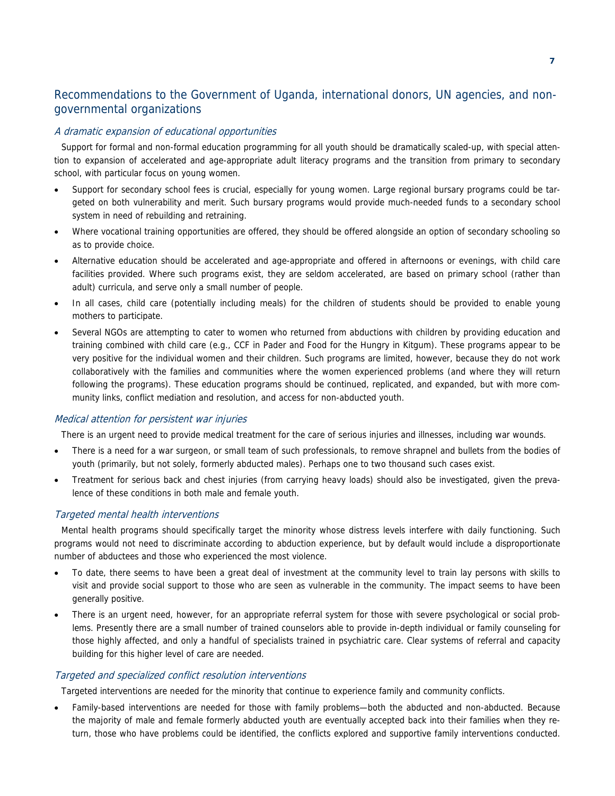# Recommendations to the Government of Uganda, international donors, UN agencies, and nongovernmental organizations

### A dramatic expansion of educational opportunities

Support for formal and non-formal education programming for all youth should be dramatically scaled-up, with special attention to expansion of accelerated and age-appropriate adult literacy programs and the transition from primary to secondary school, with particular focus on young women.

- Support for secondary school fees is crucial, especially for young women. Large regional bursary programs could be targeted on both vulnerability and merit. Such bursary programs would provide much-needed funds to a secondary school system in need of rebuilding and retraining.
- Where vocational training opportunities are offered, they should be offered alongside an option of secondary schooling so as to provide choice.
- Alternative education should be accelerated and age-appropriate and offered in afternoons or evenings, with child care facilities provided. Where such programs exist, they are seldom accelerated, are based on primary school (rather than adult) curricula, and serve only a small number of people.
- In all cases, child care (potentially including meals) for the children of students should be provided to enable young mothers to participate.
- Several NGOs are attempting to cater to women who returned from abductions with children by providing education and training combined with child care (e.g., CCF in Pader and Food for the Hungry in Kitgum). These programs appear to be very positive for the individual women and their children. Such programs are limited, however, because they do not work collaboratively with the families and communities where the women experienced problems (and where they will return following the programs). These education programs should be continued, replicated, and expanded, but with more community links, conflict mediation and resolution, and access for non-abducted youth.

### Medical attention for persistent war injuries

There is an urgent need to provide medical treatment for the care of serious injuries and illnesses, including war wounds.

- There is a need for a war surgeon, or small team of such professionals, to remove shrapnel and bullets from the bodies of youth (primarily, but not solely, formerly abducted males). Perhaps one to two thousand such cases exist.
- Treatment for serious back and chest injuries (from carrying heavy loads) should also be investigated, given the prevalence of these conditions in both male and female youth.

### Targeted mental health interventions

Mental health programs should specifically target the minority whose distress levels interfere with daily functioning. Such programs would not need to discriminate according to abduction experience, but by default would include a disproportionate number of abductees and those who experienced the most violence.

- To date, there seems to have been a great deal of investment at the community level to train lay persons with skills to visit and provide social support to those who are seen as vulnerable in the community. The impact seems to have been generally positive.
- There is an urgent need, however, for an appropriate referral system for those with severe psychological or social problems. Presently there are a small number of trained counselors able to provide in-depth individual or family counseling for those highly affected, and only a handful of specialists trained in psychiatric care. Clear systems of referral and capacity building for this higher level of care are needed.

### Targeted and specialized conflict resolution interventions

Targeted interventions are needed for the minority that continue to experience family and community conflicts.

• Family-based interventions are needed for those with family problems—both the abducted and non-abducted. Because the majority of male and female formerly abducted youth are eventually accepted back into their families when they return, those who have problems could be identified, the conflicts explored and supportive family interventions conducted.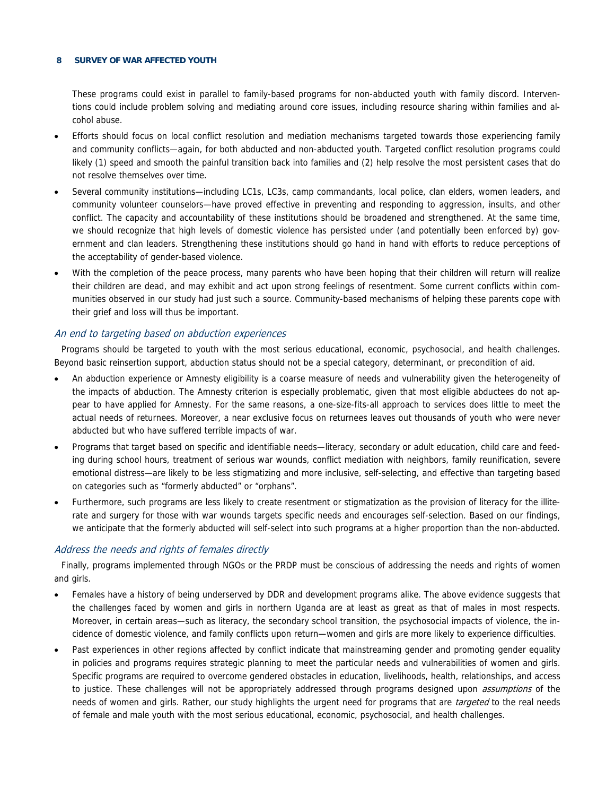#### **8 SURVEY OF WAR AFFECTED YOUTH**

These programs could exist in parallel to family-based programs for non-abducted youth with family discord. Interventions could include problem solving and mediating around core issues, including resource sharing within families and alcohol abuse.

- Efforts should focus on local conflict resolution and mediation mechanisms targeted towards those experiencing family and community conflicts—again, for both abducted and non-abducted youth. Targeted conflict resolution programs could likely (1) speed and smooth the painful transition back into families and (2) help resolve the most persistent cases that do not resolve themselves over time.
- Several community institutions—including LC1s, LC3s, camp commandants, local police, clan elders, women leaders, and community volunteer counselors—have proved effective in preventing and responding to aggression, insults, and other conflict. The capacity and accountability of these institutions should be broadened and strengthened. At the same time, we should recognize that high levels of domestic violence has persisted under (and potentially been enforced by) government and clan leaders. Strengthening these institutions should go hand in hand with efforts to reduce perceptions of the acceptability of gender-based violence.
- With the completion of the peace process, many parents who have been hoping that their children will return will realize their children are dead, and may exhibit and act upon strong feelings of resentment. Some current conflicts within communities observed in our study had just such a source. Community-based mechanisms of helping these parents cope with their grief and loss will thus be important.

### An end to targeting based on abduction experiences

Programs should be targeted to youth with the most serious educational, economic, psychosocial, and health challenges. Beyond basic reinsertion support, abduction status should not be a special category, determinant, or precondition of aid.

- An abduction experience or Amnesty eligibility is a coarse measure of needs and vulnerability given the heterogeneity of the impacts of abduction. The Amnesty criterion is especially problematic, given that most eligible abductees do not appear to have applied for Amnesty. For the same reasons, a one-size-fits-all approach to services does little to meet the actual needs of returnees. Moreover, a near exclusive focus on returnees leaves out thousands of youth who were never abducted but who have suffered terrible impacts of war.
- Programs that target based on specific and identifiable needs—literacy, secondary or adult education, child care and feeding during school hours, treatment of serious war wounds, conflict mediation with neighbors, family reunification, severe emotional distress—are likely to be less stigmatizing and more inclusive, self-selecting, and effective than targeting based on categories such as "formerly abducted" or "orphans".
- Furthermore, such programs are less likely to create resentment or stigmatization as the provision of literacy for the illiterate and surgery for those with war wounds targets specific needs and encourages self-selection. Based on our findings, we anticipate that the formerly abducted will self-select into such programs at a higher proportion than the non-abducted.

### Address the needs and rights of females directly

Finally, programs implemented through NGOs or the PRDP must be conscious of addressing the needs and rights of women and girls.

- Females have a history of being underserved by DDR and development programs alike. The above evidence suggests that the challenges faced by women and girls in northern Uganda are at least as great as that of males in most respects. Moreover, in certain areas—such as literacy, the secondary school transition, the psychosocial impacts of violence, the incidence of domestic violence, and family conflicts upon return—women and girls are more likely to experience difficulties.
- Past experiences in other regions affected by conflict indicate that mainstreaming gender and promoting gender equality in policies and programs requires strategic planning to meet the particular needs and vulnerabilities of women and girls. Specific programs are required to overcome gendered obstacles in education, livelihoods, health, relationships, and access to justice. These challenges will not be appropriately addressed through programs designed upon *assumptions* of the needs of women and girls. Rather, our study highlights the urgent need for programs that are *targeted* to the real needs of female and male youth with the most serious educational, economic, psychosocial, and health challenges.